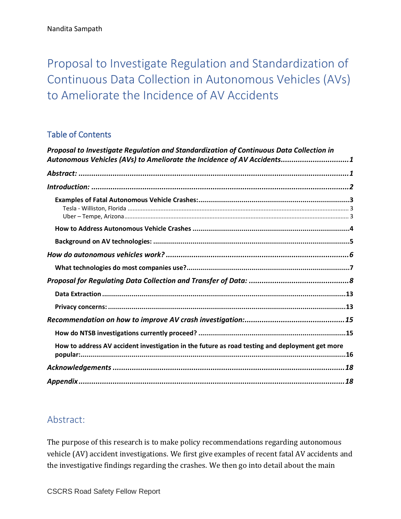<span id="page-0-0"></span>Proposal to Investigate Regulation and Standardization of Continuous Data Collection in Autonomous Vehicles (AVs) to Ameliorate the Incidence of AV Accidents

## Table of Contents

| Proposal to Investigate Regulation and Standardization of Continuous Data Collection in<br>Autonomous Vehicles (AVs) to Ameliorate the Incidence of AV Accidents1 |
|-------------------------------------------------------------------------------------------------------------------------------------------------------------------|
|                                                                                                                                                                   |
|                                                                                                                                                                   |
|                                                                                                                                                                   |
|                                                                                                                                                                   |
|                                                                                                                                                                   |
|                                                                                                                                                                   |
|                                                                                                                                                                   |
|                                                                                                                                                                   |
|                                                                                                                                                                   |
|                                                                                                                                                                   |
|                                                                                                                                                                   |
|                                                                                                                                                                   |
| How to address AV accident investigation in the future as road testing and deployment get more                                                                    |
|                                                                                                                                                                   |
|                                                                                                                                                                   |

# <span id="page-0-1"></span>Abstract:

The purpose of this research is to make policy recommendations regarding autonomous vehicle (AV) accident investigations. We first give examples of recent fatal AV accidents and the investigative findings regarding the crashes. We then go into detail about the main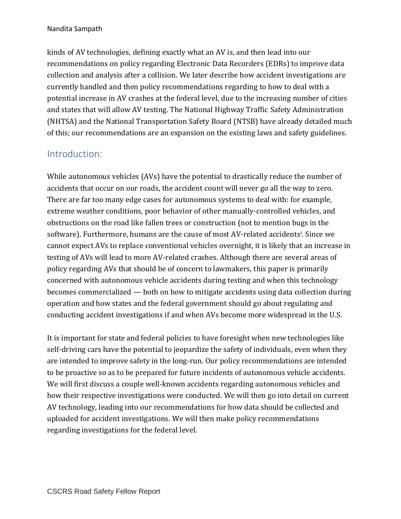kinds of AV technologies, defining exactly what an AV is, and then lead into our recommendations on policy regarding Electronic Data Recorders (EDRs) to improve data collection and analysis after a collision. We later describe how accident investigations are currently handled and then policy recommendations regarding to how to deal with a potential increase in AV crashes at the federal level, due to the increasing number of cities and states that will allow AV testing. The National Highway Traffic Safety Administration (NHTSA) and the National Transportation Safety Board (NTSB) have already detailed much of this; our recommendations are an expansion on the existing laws and safety guidelines.

# <span id="page-1-0"></span>Introduction:

While autonomous vehicles (AVs) have the potential to drastically reduce the number of accidents that occur on our roads, the accident count will never go all the way to zero. There are far too many edge cases for autonomous systems to deal with: for example, extreme weather conditions, poor behavior of other manually-controlled vehicles, and obstructions on the road like fallen trees or construction (not to mention bugs in the software). Furthermore, humans are the cause of most AV-related accidents<sup>i</sup>. Since we cannot expect AVs to replace conventional vehicles overnight, it is likely that an increase in testing of AVs will lead to more AV-related crashes. Although there are several areas of policy regarding AVs that should be of concern to lawmakers, this paper is primarily concerned with autonomous vehicle accidents during testing and when this technology becomes commercialized — both on how to mitigate accidents using data collection during operation and how states and the federal government should go about regulating and conducting accident investigations if and when AVs become more widespread in the U.S.

It is important for state and federal policies to have foresight when new technologies like self-driving cars have the potential to jeopardize the safety of individuals, even when they are intended to improve safety in the long-run. Our policy recommendations are intended to be proactive so as to be prepared for future incidents of autonomous vehicle accidents. We will first discuss a couple well-known accidents regarding autonomous vehicles and how their respective investigations were conducted. We will then go into detail on current AV technology, leading into our recommendations for how data should be collected and uploaded for accident investigations. We will then make policy recommendations regarding investigations for the federal level.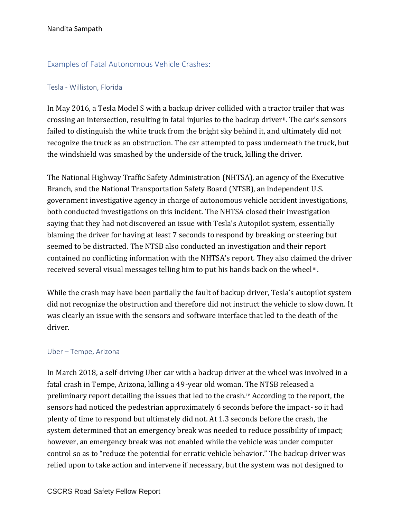### <span id="page-2-0"></span>Examples of Fatal Autonomous Vehicle Crashes:

#### <span id="page-2-1"></span>Tesla - Williston, Florida

In May 2016, a Tesla Model S with a backup driver collided with a tractor trailer that was crossing an intersection, resulting in fatal injuries to the backup driver<sup>ii</sup>. The car's sensors failed to distinguish the white truck from the bright sky behind it, and ultimately did not recognize the truck as an obstruction. The car attempted to pass underneath the truck, but the windshield was smashed by the underside of the truck, killing the driver.

The National Highway Traffic Safety Administration (NHTSA), an agency of the Executive Branch, and the National Transportation Safety Board (NTSB), an independent U.S. government investigative agency in charge of autonomous vehicle accident investigations, both conducted investigations on this incident. The NHTSA closed their investigation saying that they had not discovered an issue with Tesla's Autopilot system, essentially blaming the driver for having at least 7 seconds to respond by breaking or steering but seemed to be distracted. The NTSB also conducted an investigation and their report contained no conflicting information with the NHTSA's report. They also claimed the driver received several visual messages telling him to put his hands back on the wheeliii.

While the crash may have been partially the fault of backup driver, Tesla's autopilot system did not recognize the obstruction and therefore did not instruct the vehicle to slow down. It was clearly an issue with the sensors and software interface that led to the death of the driver.

#### <span id="page-2-2"></span>Uber – Tempe, Arizona

In March 2018, a self-driving Uber car with a backup driver at the wheel was involved in a fatal crash in Tempe, Arizona, killing a 49-year old woman. The NTSB released a preliminary report detailing the issues that led to the crash.iv According to the report, the sensors had noticed the pedestrian approximately 6 seconds before the impact- so it had plenty of time to respond but ultimately did not. At 1.3 seconds before the crash, the system determined that an emergency break was needed to reduce possibility of impact; however, an emergency break was not enabled while the vehicle was under computer control so as to "reduce the potential for erratic vehicle behavior." The backup driver was relied upon to take action and intervene if necessary, but the system was not designed to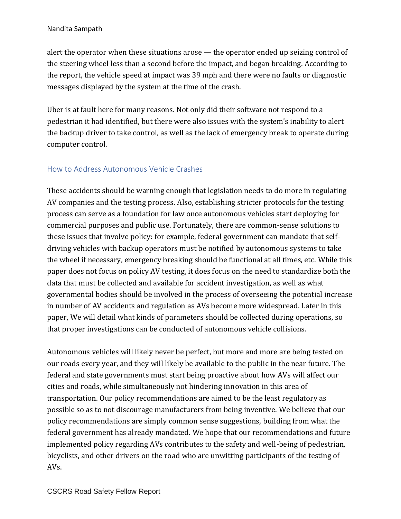alert the operator when these situations arose — the operator ended up seizing control of the steering wheel less than a second before the impact, and began breaking. According to the report, the vehicle speed at impact was 39 mph and there were no faults or diagnostic messages displayed by the system at the time of the crash.

Uber is at fault here for many reasons. Not only did their software not respond to a pedestrian it had identified, but there were also issues with the system's inability to alert the backup driver to take control, as well as the lack of emergency break to operate during computer control.

## <span id="page-3-0"></span>How to Address Autonomous Vehicle Crashes

These accidents should be warning enough that legislation needs to do more in regulating AV companies and the testing process. Also, establishing stricter protocols for the testing process can serve as a foundation for law once autonomous vehicles start deploying for commercial purposes and public use. Fortunately, there are common-sense solutions to these issues that involve policy: for example, federal government can mandate that selfdriving vehicles with backup operators must be notified by autonomous systems to take the wheel if necessary, emergency breaking should be functional at all times, etc. While this paper does not focus on policy AV testing, it does focus on the need to standardize both the data that must be collected and available for accident investigation, as well as what governmental bodies should be involved in the process of overseeing the potential increase in number of AV accidents and regulation as AVs become more widespread. Later in this paper, We will detail what kinds of parameters should be collected during operations, so that proper investigations can be conducted of autonomous vehicle collisions.

Autonomous vehicles will likely never be perfect, but more and more are being tested on our roads every year, and they will likely be available to the public in the near future. The federal and state governments must start being proactive about how AVs will affect our cities and roads, while simultaneously not hindering innovation in this area of transportation. Our policy recommendations are aimed to be the least regulatory as possible so as to not discourage manufacturers from being inventive. We believe that our policy recommendations are simply common sense suggestions, building from what the federal government has already mandated. We hope that our recommendations and future implemented policy regarding AVs contributes to the safety and well-being of pedestrian, bicyclists, and other drivers on the road who are unwitting participants of the testing of AVs.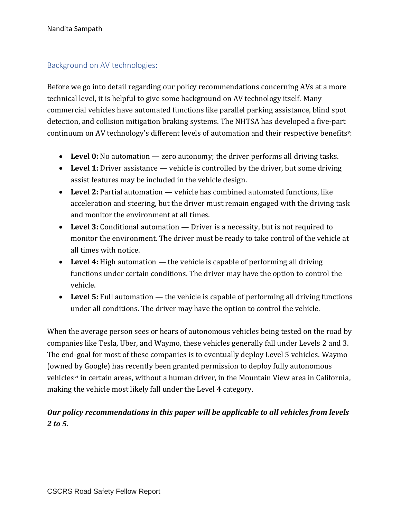### <span id="page-4-0"></span>Background on AV technologies:

Before we go into detail regarding our policy recommendations concerning AVs at a more technical level, it is helpful to give some background on AV technology itself. Many commercial vehicles have automated functions like parallel parking assistance, blind spot detection, and collision mitigation braking systems. The NHTSA has developed a five-part continuum on AV technology's different levels of automation and their respective benefitsv:

- **Level 0:** No automation zero autonomy; the driver performs all driving tasks.
- Level 1: Driver assistance vehicle is controlled by the driver, but some driving assist features may be included in the vehicle design.
- **Level 2:** Partial automation vehicle has combined automated functions, like acceleration and steering, but the driver must remain engaged with the driving task and monitor the environment at all times.
- **Level 3:** Conditional automation Driver is a necessity, but is not required to monitor the environment. The driver must be ready to take control of the vehicle at all times with notice.
- **Level 4:** High automation the vehicle is capable of performing all driving functions under certain conditions. The driver may have the option to control the vehicle.
- Level 5: Full automation the vehicle is capable of performing all driving functions under all conditions. The driver may have the option to control the vehicle.

When the average person sees or hears of autonomous vehicles being tested on the road by companies like Tesla, Uber, and Waymo, these vehicles generally fall under Levels 2 and 3. The end-goal for most of these companies is to eventually deploy Level 5 vehicles. Waymo (owned by Google) has recently been granted permission to deploy fully autonomous vehiclesvi in certain areas, without a human driver, in the Mountain View area in California, making the vehicle most likely fall under the Level 4 category.

## *Our policy recommendations in this paper will be applicable to all vehicles from levels 2 to 5.*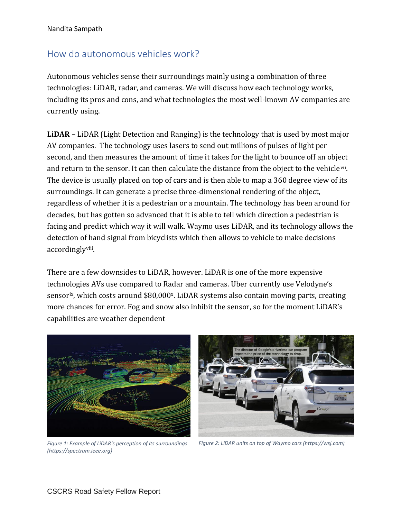# <span id="page-5-0"></span>How do autonomous vehicles work?

Autonomous vehicles sense their surroundings mainly using a combination of three technologies: LiDAR, radar, and cameras. We will discuss how each technology works, including its pros and cons, and what technologies the most well-known AV companies are currently using.

**LiDAR** – LiDAR (Light Detection and Ranging) is the technology that is used by most major AV companies. The technology uses lasers to send out millions of pulses of light per second, and then measures the amount of time it takes for the light to bounce off an object and return to the sensor. It can then calculate the distance from the object to the vehicle<sup>vii</sup>. The device is usually placed on top of cars and is then able to map a 360 degree view of its surroundings. It can generate a precise three-dimensional rendering of the object, regardless of whether it is a pedestrian or a mountain. The technology has been around for decades, but has gotten so advanced that it is able to tell which direction a pedestrian is facing and predict which way it will walk. Waymo uses LiDAR, and its technology allows the detection of hand signal from bicyclists which then allows to vehicle to make decisions accordingly<sup>viii</sup>.

There are a few downsides to LiDAR, however. LiDAR is one of the more expensive technologies AVs use compared to Radar and cameras. Uber currently use Velodyne's sensor<sup>ix</sup>, which costs around \$80,000<sup>x</sup>. LiDAR systems also contain moving parts, creating more chances for error. Fog and snow also inhibit the sensor, so for the moment LiDAR's capabilities are weather dependent



*Figure 1: Example of LiDAR's perception of its surroundings (https://spectrum.ieee.org)*



*Figure 2: LiDAR units on top of Waymo cars (https://wsj.com)*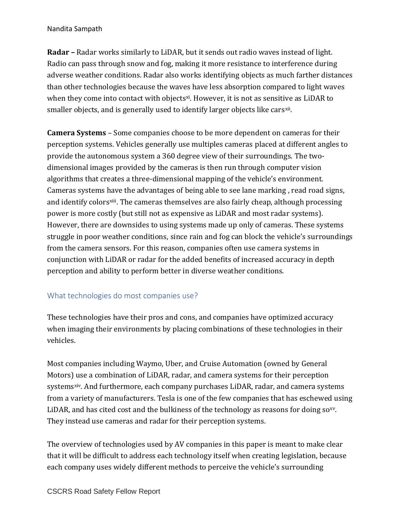**Radar –** Radar works similarly to LiDAR, but it sends out radio waves instead of light. Radio can pass through snow and fog, making it more resistance to interference during adverse weather conditions. Radar also works identifying objects as much farther distances than other technologies because the waves have less absorption compared to light waves when they come into contact with objects<sup>xi</sup>. However, it is not as sensitive as LiDAR to smaller objects, and is generally used to identify larger objects like cars<sup>xii</sup>.

**Camera Systems** – Some companies choose to be more dependent on cameras for their perception systems. Vehicles generally use multiples cameras placed at different angles to provide the autonomous system a 360 degree view of their surroundings. The twodimensional images provided by the cameras is then run through computer vision algorithms that creates a three-dimensional mapping of the vehicle's environment. Cameras systems have the advantages of being able to see lane marking , read road signs, and identify colors<sup>xiii</sup>. The cameras themselves are also fairly cheap, although processing power is more costly (but still not as expensive as LiDAR and most radar systems). However, there are downsides to using systems made up only of cameras. These systems struggle in poor weather conditions, since rain and fog can block the vehicle's surroundings from the camera sensors. For this reason, companies often use camera systems in conjunction with LiDAR or radar for the added benefits of increased accuracy in depth perception and ability to perform better in diverse weather conditions.

### <span id="page-6-0"></span>What technologies do most companies use?

These technologies have their pros and cons, and companies have optimized accuracy when imaging their environments by placing combinations of these technologies in their vehicles.

Most companies including Waymo, Uber, and Cruise Automation (owned by General Motors) use a combination of LiDAR, radar, and camera systems for their perception systems<sup>xiv</sup>. And furthermore, each company purchases LiDAR, radar, and camera systems from a variety of manufacturers. Tesla is one of the few companies that has eschewed using LiDAR, and has cited cost and the bulkiness of the technology as reasons for doing  $so^{xy}$ . They instead use cameras and radar for their perception systems.

The overview of technologies used by AV companies in this paper is meant to make clear that it will be difficult to address each technology itself when creating legislation, because each company uses widely different methods to perceive the vehicle's surrounding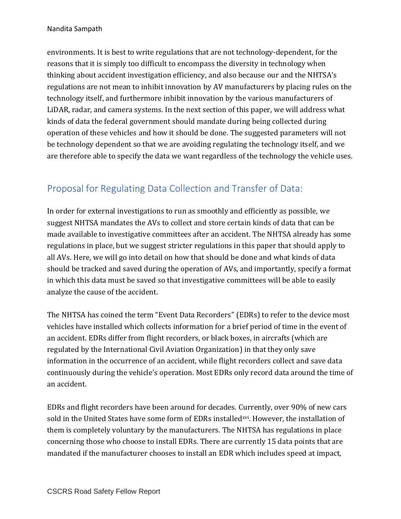environments. It is best to write regulations that are not technology-dependent, for the reasons that it is simply too difficult to encompass the diversity in technology when thinking about accident investigation efficiency, and also because our and the NHTSA's regulations are not mean to inhibit innovation by AV manufacturers by placing rules on the technology itself, and furthermore inhibit innovation by the various manufacturers of LiDAR, radar, and camera systems. In the next section of this paper, we will address what kinds of data the federal government should mandate during being collected during operation of these vehicles and how it should be done. The suggested parameters will not be technology dependent so that we are avoiding regulating the technology itself, and we are therefore able to specify the data we want regardless of the technology the vehicle uses.

# <span id="page-7-0"></span>Proposal for Regulating Data Collection and Transfer of Data:

In order for external investigations to run as smoothly and efficiently as possible, we suggest NHTSA mandates the AVs to collect and store certain kinds of data that can be made available to investigative committees after an accident. The NHTSA already has some regulations in place, but we suggest stricter regulations in this paper that should apply to all AVs. Here, we will go into detail on how that should be done and what kinds of data should be tracked and saved during the operation of AVs, and importantly, specify a format in which this data must be saved so that investigative committees will be able to easily analyze the cause of the accident.

The NHTSA has coined the term "Event Data Recorders" (EDRs) to refer to the device most vehicles have installed which collects information for a brief period of time in the event of an accident. EDRs differ from flight recorders, or black boxes, in aircrafts (which are regulated by the International Civil Aviation Organization) in that they only save information in the occurrence of an accident, while flight recorders collect and save data continuously during the vehicle's operation. Most EDRs only record data around the time of an accident.

EDRs and flight recorders have been around for decades. Currently, over 90% of new cars sold in the United States have some form of EDRs installed<sup>xvi</sup>. However, the installation of them is completely voluntary by the manufacturers. The NHTSA has regulations in place concerning those who choose to install EDRs. There are currently 15 data points that are mandated if the manufacturer chooses to install an EDR which includes speed at impact,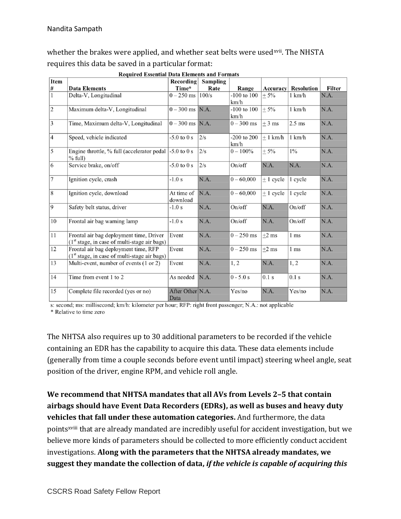whether the brakes were applied, and whether seat belts were used<sup>xvii</sup>. The NHSTA requires this data be saved in a particular format:

**Required Essential Data Elements and Formats** 

| Item           | ггэдин эм бээгийн байн битнэйтэ ани т огшигэ                                                        | <b>Recording</b>         | Sampling |                         |               |                   |        |
|----------------|-----------------------------------------------------------------------------------------------------|--------------------------|----------|-------------------------|---------------|-------------------|--------|
| $\#$           | <b>Data Elements</b>                                                                                | Time*                    | Rate     | Range                   | Accuracy      | <b>Resolution</b> | Filter |
| $\mathbf{1}$   | Delta-V, Longitudinal                                                                               | $0 - 250$ ms             | 100/s    | -100 to $100$<br>km/h   | $+5%$         | $1 \text{ km/h}$  | N.A.   |
| $\overline{c}$ | Maximum delta-V, Longitudinal                                                                       | $0 - 300$ ms  N.A.       |          | $-100$ to $100$<br>km/h | $± 5\%$       | $1 \text{ km/h}$  | N.A.   |
| 3              | Time, Maximum delta-V, Longitudinal                                                                 | $0 - 300$ ms N.A.        |          | $0 - 300$ ms            | $±$ 3 ms      | $2.5$ ms          | N.A.   |
| $\overline{4}$ | Speed, vehicle indicated                                                                            | $-5.0$ to 0 s            | 2/s      | $-200$ to $200$<br>km/h | ± 1 km/h      | $1 \text{ km/h}$  | N.A.   |
| 5              | Engine throttle, % full (accelerator pedal<br>$%$ full)                                             | $-5.0$ to 0 s            | 2/s      | $0 - 100\%$             | ± 5%          | $1\%$             | N.A.   |
| 6              | Service brake, on/off                                                                               | $-5.0$ to $0s$           | 2/s      | On/off                  | N.A.          | N.A.              | N.A.   |
| $\overline{7}$ | Ignition cycle, crash                                                                               | $-1.0 s$                 | N.A.     | $0 - 60,000$            | $\pm$ 1 cycle | 1 cycle           | N.A.   |
| $\,8\,$        | Ignition cycle, download                                                                            | At time of<br>download   | N.A.     | $0 - 60,000$            | $+1$ cycle    | 1 cycle           | N.A.   |
| 9              | Safety belt status, driver                                                                          | $-1.0 s$                 | N.A.     | On/off                  | N.A.          | On/off            | N.A.   |
| 10             | Frontal air bag warning lamp                                                                        | $-1.0 s$                 | N.A.     | On/off                  | N.A.          | On/off            | N.A.   |
| 11             | Frontal air bag deployment time, Driver<br>(1 <sup>st</sup> stage, in case of multi-stage air bags) | Event                    | N.A.     | $0 - 250$ ms            | $\pm 2$ ms    | 1 ms              | N.A.   |
| 12             | Frontal air bag deployment time, RFP<br>$(1st stage, in case of multi-stage air bags)$              | Event                    | N.A.     | $0 - 250$ ms            | $+2$ ms       | 1 <sub>ms</sub>   | N.A.   |
| 13             | Multi-event, number of events (1 or 2)                                                              | Event                    | N.A.     | 1, 2                    | N.A.          | 1, 2              | N.A.   |
| 14             | Time from event 1 to 2                                                                              | As needed                | N.A.     | $0 - 5.0 s$             | 0.1 s         | 0.1 s             | N.A.   |
| 15             | Complete file recorded (yes or no)                                                                  | After Other N.A.<br>Data |          | Yes/no                  | N.A.          | Yes/no            | N.A.   |

s: second; ms: millisecond; km/h: kilometer per hour; RFP: right front passenger; N.A.: not applicable \* Relative to time zero

The NHTSA also requires up to 30 additional parameters to be recorded if the vehicle containing an EDR has the capability to acquire this data. These data elements include (generally from time a couple seconds before event until impact) steering wheel angle, seat position of the driver, engine RPM, and vehicle roll angle.

**We recommend that NHTSA mandates that all AVs from Levels 2–5 that contain airbags should have Event Data Recorders (EDRs), as well as buses and heavy duty vehicles that fall under these automation categories.** And furthermore, the data pointsxviii that are already mandated are incredibly useful for accident investigation, but we believe more kinds of parameters should be collected to more efficiently conduct accident investigations. **Along with the parameters that the NHTSA already mandates, we suggest they mandate the collection of data,** *if the vehicle is capable of acquiring this*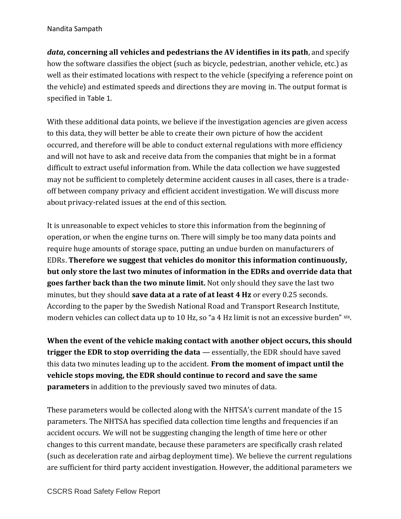*data***, concerning all vehicles and pedestrians the AV identifies in its path**, and specify how the software classifies the object (such as bicycle, pedestrian, another vehicle, etc.) as well as their estimated locations with respect to the vehicle (specifying a reference point on the vehicle) and estimated speeds and directions they are moving in. The output format is specified in [Table 1](#page-10-0).

With these additional data points, we believe if the investigation agencies are given access to this data, they will better be able to create their own picture of how the accident occurred, and therefore will be able to conduct external regulations with more efficiency and will not have to ask and receive data from the companies that might be in a format difficult to extract useful information from. While the data collection we have suggested may not be sufficient to completely determine accident causes in all cases, there is a tradeoff between company privacy and efficient accident investigation. We will discuss more about privacy-related issues at the end of this section.

It is unreasonable to expect vehicles to store this information from the beginning of operation, or when the engine turns on. There will simply be too many data points and require huge amounts of storage space, putting an undue burden on manufacturers of EDRs. **Therefore we suggest that vehicles do monitor this information continuously, but only store the last two minutes of information in the EDRs and override data that goes farther back than the two minute limit.** Not only should they save the last two minutes, but they should **save data at a rate of at least 4 Hz** or every 0.25 seconds. According to the paper by the Swedish National Road and Transport Research Institute, modern vehicles can collect data up to 10 Hz, so "a 4 Hz limit is not an excessive burden" xix.

**When the event of the vehicle making contact with another object occurs, this should trigger the EDR to stop overriding the data** — essentially, the EDR should have saved this data two minutes leading up to the accident. **From the moment of impact until the vehicle stops moving, the EDR should continue to record and save the same parameters** in addition to the previously saved two minutes of data.

These parameters would be collected along with the NHTSA's current mandate of the 15 parameters. The NHTSA has specified data collection time lengths and frequencies if an accident occurs. We will not be suggesting changing the length of time here or other changes to this current mandate, because these parameters are specifically crash related (such as deceleration rate and airbag deployment time). We believe the current regulations are sufficient for third party accident investigation. However, the additional parameters we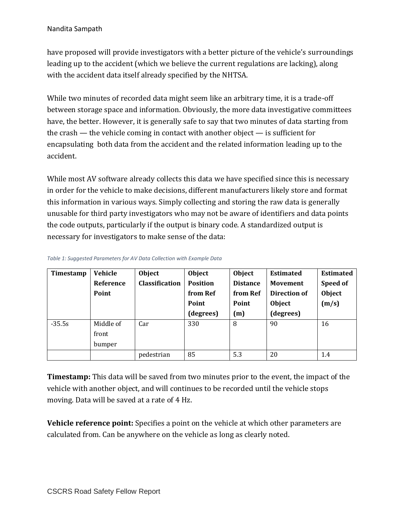#### Nandita Sampath

have proposed will provide investigators with a better picture of the vehicle's surroundings leading up to the accident (which we believe the current regulations are lacking), along with the accident data itself already specified by the NHTSA.

While two minutes of recorded data might seem like an arbitrary time, it is a trade-off between storage space and information. Obviously, the more data investigative committees have, the better. However, it is generally safe to say that two minutes of data starting from the crash — the vehicle coming in contact with another object — is sufficient for encapsulating both data from the accident and the related information leading up to the accident.

While most AV software already collects this data we have specified since this is necessary in order for the vehicle to make decisions, different manufacturers likely store and format this information in various ways. Simply collecting and storing the raw data is generally unusable for third party investigators who may not be aware of identifiers and data points the code outputs, particularly if the output is binary code. A standardized output is necessary for investigators to make sense of the data:

| Timestamp | <b>Vehicle</b> | Object                | <b>Object</b>   | <b>Object</b>   | <b>Estimated</b>    | <b>Estimated</b> |
|-----------|----------------|-----------------------|-----------------|-----------------|---------------------|------------------|
|           | Reference      | <b>Classification</b> | <b>Position</b> | <b>Distance</b> | <b>Movement</b>     | Speed of         |
|           | Point          |                       | from Ref        | from Ref        | <b>Direction of</b> | <b>Object</b>    |
|           |                |                       | Point           | Point           | <b>Object</b>       | (m/s)            |
|           |                |                       | (degrees)       | (m)             | (degrees)           |                  |
| $-35.5s$  | Middle of      | Car                   | 330             | 8               | 90                  | 16               |
|           | front          |                       |                 |                 |                     |                  |
|           | bumper         |                       |                 |                 |                     |                  |
|           |                | pedestrian            | 85              | 5.3             | 20                  | 1.4              |

<span id="page-10-0"></span>*Table 1: Suggested Parameters for AV Data Collection with Example Data*

**Timestamp:** This data will be saved from two minutes prior to the event, the impact of the vehicle with another object, and will continues to be recorded until the vehicle stops moving. Data will be saved at a rate of 4 Hz.

**Vehicle reference point:** Specifies a point on the vehicle at which other parameters are calculated from. Can be anywhere on the vehicle as long as clearly noted.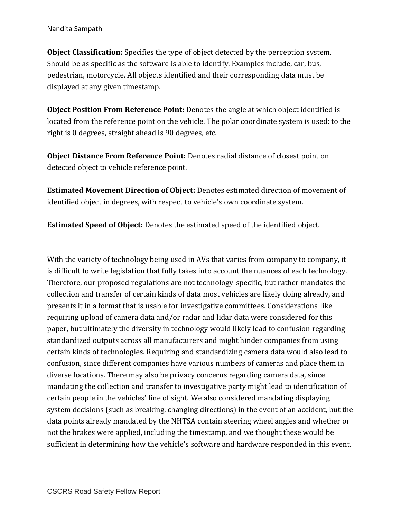**Object Classification:** Specifies the type of object detected by the perception system. Should be as specific as the software is able to identify. Examples include, car, bus, pedestrian, motorcycle. All objects identified and their corresponding data must be displayed at any given timestamp.

**Object Position From Reference Point:** Denotes the angle at which object identified is located from the reference point on the vehicle. The polar coordinate system is used: to the right is 0 degrees, straight ahead is 90 degrees, etc.

**Object Distance From Reference Point:** Denotes radial distance of closest point on detected object to vehicle reference point.

**Estimated Movement Direction of Object:** Denotes estimated direction of movement of identified object in degrees, with respect to vehicle's own coordinate system.

**Estimated Speed of Object:** Denotes the estimated speed of the identified object.

With the variety of technology being used in AVs that varies from company to company, it is difficult to write legislation that fully takes into account the nuances of each technology. Therefore, our proposed regulations are not technology-specific, but rather mandates the collection and transfer of certain kinds of data most vehicles are likely doing already, and presents it in a format that is usable for investigative committees. Considerations like requiring upload of camera data and/or radar and lidar data were considered for this paper, but ultimately the diversity in technology would likely lead to confusion regarding standardized outputs across all manufacturers and might hinder companies from using certain kinds of technologies. Requiring and standardizing camera data would also lead to confusion, since different companies have various numbers of cameras and place them in diverse locations. There may also be privacy concerns regarding camera data, since mandating the collection and transfer to investigative party might lead to identification of certain people in the vehicles' line of sight. We also considered mandating displaying system decisions (such as breaking, changing directions) in the event of an accident, but the data points already mandated by the NHTSA contain steering wheel angles and whether or not the brakes were applied, including the timestamp, and we thought these would be sufficient in determining how the vehicle's software and hardware responded in this event.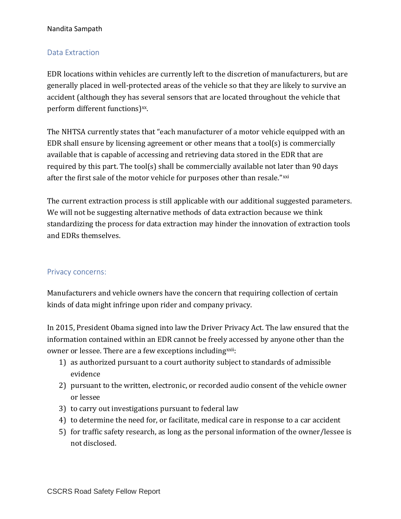#### Nandita Sampath

### <span id="page-12-0"></span>Data Extraction

EDR locations within vehicles are currently left to the discretion of manufacturers, but are generally placed in well-protected areas of the vehicle so that they are likely to survive an accident (although they has several sensors that are located throughout the vehicle that perform different functions)<sup>xx</sup>.

The NHTSA currently states that "each manufacturer of a motor vehicle equipped with an EDR shall ensure by licensing agreement or other means that a tool(s) is commercially available that is capable of accessing and retrieving data stored in the EDR that are required by this part. The tool(s) shall be commercially available not later than 90 days after the first sale of the motor vehicle for purposes other than resale."xxi

The current extraction process is still applicable with our additional suggested parameters. We will not be suggesting alternative methods of data extraction because we think standardizing the process for data extraction may hinder the innovation of extraction tools and EDRs themselves.

#### <span id="page-12-1"></span>Privacy concerns:

Manufacturers and vehicle owners have the concern that requiring collection of certain kinds of data might infringe upon rider and company privacy.

In 2015, President Obama signed into law the Driver Privacy Act. The law ensured that the information contained within an EDR cannot be freely accessed by anyone other than the owner or lessee. There are a few exceptions including<sup>xxii</sup>:

- 1) as authorized pursuant to a court authority subject to standards of admissible evidence
- 2) pursuant to the written, electronic, or recorded audio consent of the vehicle owner or lessee
- 3) to carry out investigations pursuant to federal law
- 4) to determine the need for, or facilitate, medical care in response to a car accident
- 5) for traffic safety research, as long as the personal information of the owner/lessee is not disclosed.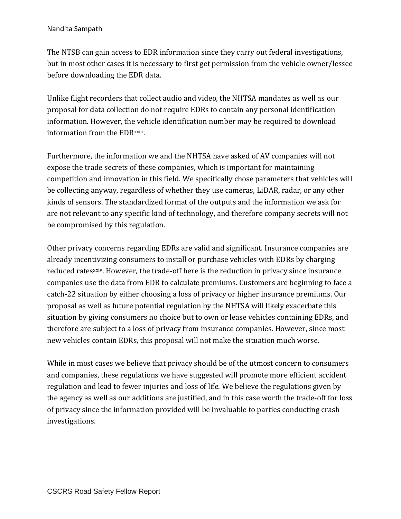#### Nandita Sampath

The NTSB can gain access to EDR information since they carry out federal investigations, but in most other cases it is necessary to first get permission from the vehicle owner/lessee before downloading the EDR data.

Unlike flight recorders that collect audio and video, the NHTSA mandates as well as our proposal for data collection do not require EDRs to contain any personal identification information. However, the vehicle identification number may be required to download information from the EDR<sup>xxiii</sup>.

Furthermore, the information we and the NHTSA have asked of AV companies will not expose the trade secrets of these companies, which is important for maintaining competition and innovation in this field. We specifically chose parameters that vehicles will be collecting anyway, regardless of whether they use cameras, LiDAR, radar, or any other kinds of sensors. The standardized format of the outputs and the information we ask for are not relevant to any specific kind of technology, and therefore company secrets will not be compromised by this regulation.

Other privacy concerns regarding EDRs are valid and significant. Insurance companies are already incentivizing consumers to install or purchase vehicles with EDRs by charging reduced rates<sup>xxiv</sup>. However, the trade-off here is the reduction in privacy since insurance companies use the data from EDR to calculate premiums. Customers are beginning to face a catch-22 situation by either choosing a loss of privacy or higher insurance premiums. Our proposal as well as future potential regulation by the NHTSA will likely exacerbate this situation by giving consumers no choice but to own or lease vehicles containing EDRs, and therefore are subject to a loss of privacy from insurance companies. However, since most new vehicles contain EDRs, this proposal will not make the situation much worse.

While in most cases we believe that privacy should be of the utmost concern to consumers and companies, these regulations we have suggested will promote more efficient accident regulation and lead to fewer injuries and loss of life. We believe the regulations given by the agency as well as our additions are justified, and in this case worth the trade-off for loss of privacy since the information provided will be invaluable to parties conducting crash investigations.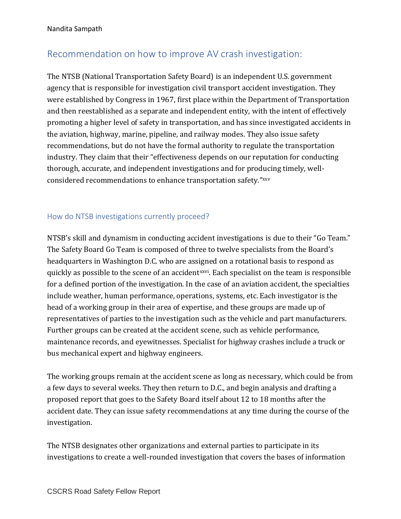# <span id="page-14-0"></span>Recommendation on how to improve AV crash investigation:

The NTSB (National Transportation Safety Board) is an independent U.S. government agency that is responsible for investigation civil transport accident investigation. They were established by Congress in 1967, first place within the Department of Transportation and then reestablished as a separate and independent entity, with the intent of effectively promoting a higher level of safety in transportation, and has since investigated accidents in the aviation, highway, marine, pipeline, and railway modes. They also issue safety recommendations, but do not have the formal authority to regulate the transportation industry. They claim that their "effectiveness depends on our reputation for conducting thorough, accurate, and independent investigations and for producing timely, wellconsidered recommendations to enhance transportation safety." xxv

## <span id="page-14-1"></span>How do NTSB investigations currently proceed?

NTSB's skill and dynamism in conducting accident investigations is due to their "Go Team." The Safety Board Go Team is composed of three to twelve specialists from the Board's headquarters in Washington D.C. who are assigned on a rotational basis to respond as quickly as possible to the scene of an accident<sup>xxvi</sup>. Each specialist on the team is responsible for a defined portion of the investigation. In the case of an aviation accident, the specialties include weather, human performance, operations, systems, etc. Each investigator is the head of a working group in their area of expertise, and these groups are made up of representatives of parties to the investigation such as the vehicle and part manufacturers. Further groups can be created at the accident scene, such as vehicle performance, maintenance records, and eyewitnesses. Specialist for highway crashes include a truck or bus mechanical expert and highway engineers.

The working groups remain at the accident scene as long as necessary, which could be from a few days to several weeks. They then return to D.C., and begin analysis and drafting a proposed report that goes to the Safety Board itself about 12 to 18 months after the accident date. They can issue safety recommendations at any time during the course of the investigation.

The NTSB designates other organizations and external parties to participate in its investigations to create a well-rounded investigation that covers the bases of information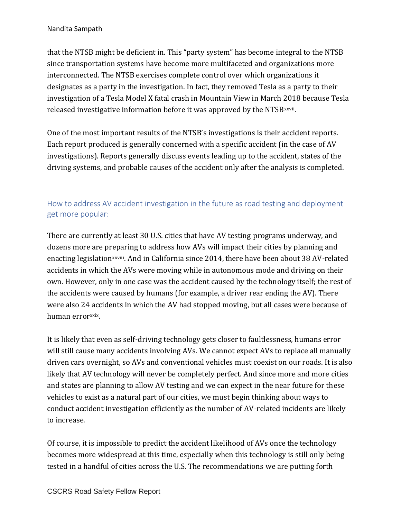that the NTSB might be deficient in. This "party system" has become integral to the NTSB since transportation systems have become more multifaceted and organizations more interconnected. The NTSB exercises complete control over which organizations it designates as a party in the investigation. In fact, they removed Tesla as a party to their investigation of a Tesla Model X fatal crash in Mountain View in March 2018 because Tesla released investigative information before it was approved by the NTSB xxvii.

One of the most important results of the NTSB's investigations is their accident reports. Each report produced is generally concerned with a specific accident (in the case of AV investigations). Reports generally discuss events leading up to the accident, states of the driving systems, and probable causes of the accident only after the analysis is completed.

## <span id="page-15-0"></span>How to address AV accident investigation in the future as road testing and deployment get more popular:

There are currently at least 30 U.S. cities that have AV testing programs underway, and dozens more are preparing to address how AVs will impact their cities by planning and enacting legislation<sup>xxviii</sup>. And in California since 2014, there have been about 38 AV-related accidents in which the AVs were moving while in autonomous mode and driving on their own. However, only in one case was the accident caused by the technology itself; the rest of the accidents were caused by humans (for example, a driver rear ending the AV). There were also 24 accidents in which the AV had stopped moving, but all cases were because of human error<sup>xxix</sup>.

It is likely that even as self-driving technology gets closer to faultlessness, humans error will still cause many accidents involving AVs. We cannot expect AVs to replace all manually driven cars overnight, so AVs and conventional vehicles must coexist on our roads. It is also likely that AV technology will never be completely perfect. And since more and more cities and states are planning to allow AV testing and we can expect in the near future for these vehicles to exist as a natural part of our cities, we must begin thinking about ways to conduct accident investigation efficiently as the number of AV-related incidents are likely to increase.

Of course, it is impossible to predict the accident likelihood of AVs once the technology becomes more widespread at this time, especially when this technology is still only being tested in a handful of cities across the U.S. The recommendations we are putting forth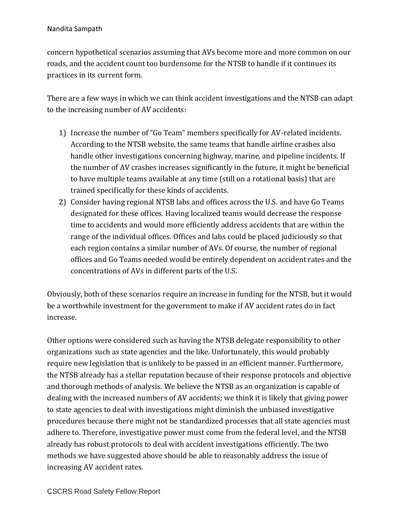concern hypothetical scenarios assuming that AVs become more and more common on our roads, and the accident count too burdensome for the NTSB to handle if it continues its practices in its current form.

There are a few ways in which we can think accident investigations and the NTSB can adapt to the increasing number of AV accidents:

- 1) Increase the number of "Go Team" members specifically for AV-related incidents. According to the NTSB website, the same teams that handle airline crashes also handle other investigations concerning highway, marine, and pipeline incidents. If the number of AV crashes increases significantly in the future, it might be beneficial to have multiple teams available at any time (still on a rotational basis) that are trained specifically for these kinds of accidents.
- 2) Consider having regional NTSB labs and offices across the U.S. and have Go Teams designated for these offices. Having localized teams would decrease the response time to accidents and would more efficiently address accidents that are within the range of the individual offices. Offices and labs could be placed judiciously so that each region contains a similar number of AVs. Of course, the number of regional offices and Go Teams needed would be entirely dependent on accident rates and the concentrations of AVs in different parts of the U.S.

Obviously, both of these scenarios require an increase in funding for the NTSB, but it would be a worthwhile investment for the government to make if AV accident rates do in fact increase.

Other options were considered such as having the NTSB delegate responsibility to other organizations such as state agencies and the like. Unfortunately, this would probably require new legislation that is unlikely to be passed in an efficient manner. Furthermore, the NTSB already has a stellar reputation because of their response protocols and objective and thorough methods of analysis. We believe the NTSB as an organization is capable of dealing with the increased numbers of AV accidents; we think it is likely that giving power to state agencies to deal with investigations might diminish the unbiased investigative procedures because there might not be standardized processes that all state agencies must adhere to. Therefore, investigative power must come from the federal level, and the NTSB already has robust protocols to deal with accident investigations efficiently. The two methods we have suggested above should be able to reasonably address the issue of increasing AV accident rates.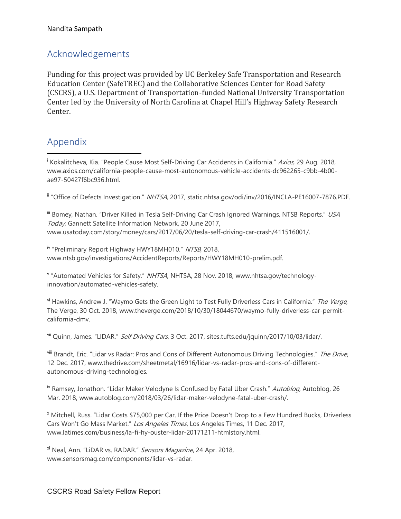# <span id="page-17-0"></span>Acknowledgements

Funding for this project was provided by UC Berkeley Safe Transportation and Research Education Center (SafeTREC) and the Collaborative Sciences Center for Road Safety (CSCRS), a U.S. Department of Transportation-funded National University Transportation Center led by the University of North Carolina at Chapel Hill's Highway Safety Research Center.

# <span id="page-17-1"></span>Appendix

 $\overline{a}$ 

<sup>i</sup> Kokalitcheva, Kia. "People Cause Most Self-Driving Car Accidents in California." Axios, 29 Aug. 2018, www.axios.com/california-people-cause-most-autonomous-vehicle-accidents-dc962265-c9bb-4b00 ae97-50427f6bc936.html.

ii "Office of Defects Investigation." NHTSA, 2017, static.nhtsa.gov/odi/inv/2016/INCLA-PE16007-7876.PDF.

iii Bomey, Nathan. "Driver Killed in Tesla Self-Driving Car Crash Ignored Warnings, NTSB Reports." USA Today, Gannett Satellite Information Network, 20 June 2017, www.usatoday.com/story/money/cars/2017/06/20/tesla-self-driving-car-crash/411516001/.

iv "Preliminary Report Highway HWY18MH010." NTSB, 2018, www.ntsb.gov/investigations/AccidentReports/Reports/HWY18MH010-prelim.pdf.

<sup>v</sup> "Automated Vehicles for Safety." NHTSA, NHTSA, 28 Nov. 2018, www.nhtsa.gov/technologyinnovation/automated-vehicles-safety.

v<sup>i</sup> Hawkins, Andrew J. "Waymo Gets the Green Light to Test Fully Driverless Cars in California." The Verge, The Verge, 30 Oct. 2018, www.theverge.com/2018/10/30/18044670/waymo-fully-driverless-car-permitcalifornia-dmv.

vii Quinn, James. "LIDAR." Self Driving Cars, 3 Oct. 2017, sites.tufts.edu/jquinn/2017/10/03/lidar/.

viii Brandt, Eric. "Lidar vs Radar: Pros and Cons of Different Autonomous Driving Technologies." The Drive, 12 Dec. 2017, www.thedrive.com/sheetmetal/16916/lidar-vs-radar-pros-and-cons-of-differentautonomous-driving-technologies.

<sup>ix</sup> Ramsey, Jonathon. "Lidar Maker Velodyne Is Confused by Fatal Uber Crash." Autoblog, Autoblog, 26 Mar. 2018, www.autoblog.com/2018/03/26/lidar-maker-velodyne-fatal-uber-crash/.

<sup>x</sup> Mitchell, Russ. "Lidar Costs \$75,000 per Car. If the Price Doesn't Drop to a Few Hundred Bucks, Driverless Cars Won't Go Mass Market." Los Angeles Times, Los Angeles Times, 11 Dec. 2017, www.latimes.com/business/la-fi-hy-ouster-lidar-20171211-htmlstory.html.

<sup>xi</sup> Neal, Ann. "LiDAR vs. RADAR." Sensors Magazine, 24 Apr. 2018, www.sensorsmag.com/components/lidar-vs-radar.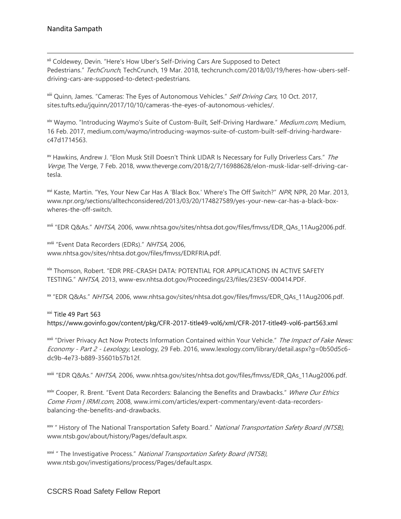$\overline{a}$ 

xii Coldewey, Devin. "Here's How Uber's Self-Driving Cars Are Supposed to Detect Pedestrians." TechCrunch, TechCrunch, 19 Mar. 2018, techcrunch.com/2018/03/19/heres-how-ubers-selfdriving-cars-are-supposed-to-detect-pedestrians.

<sup>xiii</sup> Quinn, James. "Cameras: The Eyes of Autonomous Vehicles." Self Driving Cars, 10 Oct. 2017, sites.tufts.edu/jquinn/2017/10/10/cameras-the-eyes-of-autonomous-vehicles/.

<sup>xiv</sup> Waymo. "Introducing Waymo's Suite of Custom-Built, Self-Driving Hardware." *Medium.com*, Medium, 16 Feb. 2017, medium.com/waymo/introducing-waymos-suite-of-custom-built-self-driving-hardwarec47d1714563.

xv Hawkins, Andrew J. "Elon Musk Still Doesn't Think LIDAR Is Necessary for Fully Driverless Cars." The Verge, The Verge, 7 Feb. 2018, www.theverge.com/2018/2/7/16988628/elon-musk-lidar-self-driving-cartesla.

xvi Kaste, Martin. "Yes, Your New Car Has A 'Black Box.' Where's The Off Switch?" NPR, NPR, 20 Mar. 2013, www.npr.org/sections/alltechconsidered/2013/03/20/174827589/yes-your-new-car-has-a-black-boxwheres-the-off-switch.

xvii "EDR Q&As." NHTSA, 2006, www.nhtsa.gov/sites/nhtsa.dot.gov/files/fmvss/EDR\_QAs\_11Aug2006.pdf.

xviii "Event Data Recorders (EDRs)." NHTSA, 2006, www.nhtsa.gov/sites/nhtsa.dot.gov/files/fmvss/EDRFRIA.pdf.

xix Thomson, Robert. "EDR PRE-CRASH DATA: POTENTIAL FOR APPLICATIONS IN ACTIVE SAFETY TESTING." NHTSA, 2013, www-esv.nhtsa.dot.gov/Proceedings/23/files/23ESV-000414.PDF.

xx "EDR Q&As." NHTSA, 2006, www.nhtsa.gov/sites/nhtsa.dot.gov/files/fmvss/EDR\_QAs\_11Aug2006.pdf.

xxi Title 49 Part 563 https://www.govinfo.gov/content/pkg/CFR-2017-title49-vol6/xml/CFR-2017-title49-vol6-part563.xml

<sup>xxii</sup> "Driver Privacy Act Now Protects Information Contained within Your Vehicle." The Impact of Fake News: Economy - Part 2 - Lexology, Lexology, 29 Feb. 2016, www.lexology.com/library/detail.aspx?g=0b50d5c6 dc9b-4e73-b889-35601b57b12f.

xxiii "EDR Q&As." NHTSA, 2006, www.nhtsa.gov/sites/nhtsa.dot.gov/files/fmvss/EDR\_QAs\_11Aug2006.pdf.

xxiv Cooper, R. Brent. "Event Data Recorders: Balancing the Benefits and Drawbacks." Where Our Ethics Come From | IRMI.com, 2008, www.irmi.com/articles/expert-commentary/event-data-recordersbalancing-the-benefits-and-drawbacks.

<sup>xxv</sup> " History of The National Transportation Safety Board." National Transportation Safety Board (NTSB), www.ntsb.gov/about/history/Pages/default.aspx.

<sup>xxvi</sup> " The Investigative Process." National Transportation Safety Board (NTSB), www.ntsb.gov/investigations/process/Pages/default.aspx.